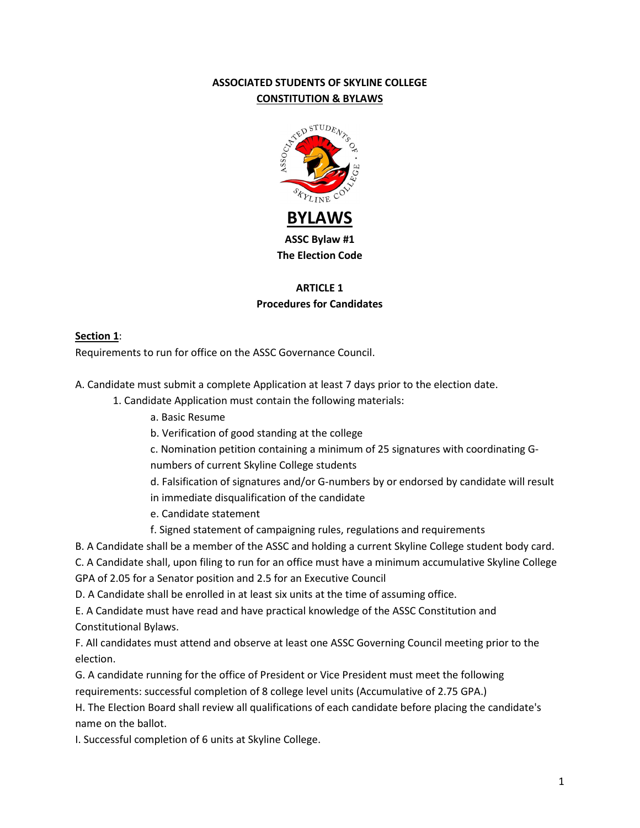# **ASSOCIATED STUDENTS OF SKYLINE COLLEGE CONSTITUTION & BYLAWS**



# **ARTICLE 1 Procedures for Candidates**

## **Section 1**:

Requirements to run for office on the ASSC Governance Council.

A. Candidate must submit a complete Application at least 7 days prior to the election date.

- 1. Candidate Application must contain the following materials:
	- a. Basic Resume
	- b. Verification of good standing at the college
	- c. Nomination petition containing a minimum of 25 signatures with coordinating G-
	- numbers of current Skyline College students
	- d. Falsification of signatures and/or G-numbers by or endorsed by candidate will result
	- in immediate disqualification of the candidate
	- e. Candidate statement
	- f. Signed statement of campaigning rules, regulations and requirements
- B. A Candidate shall be a member of the ASSC and holding a current Skyline College student body card.
- C. A Candidate shall, upon filing to run for an office must have a minimum accumulative Skyline College GPA of 2.05 for a Senator position and 2.5 for an Executive Council
- D. A Candidate shall be enrolled in at least six units at the time of assuming office.
- E. A Candidate must have read and have practical knowledge of the ASSC Constitution and Constitutional Bylaws.
- F. All candidates must attend and observe at least one ASSC Governing Council meeting prior to the election.
- G. A candidate running for the office of President or Vice President must meet the following requirements: successful completion of 8 college level units (Accumulative of 2.75 GPA.)
- H. The Election Board shall review all qualifications of each candidate before placing the candidate's name on the ballot.
- I. Successful completion of 6 units at Skyline College.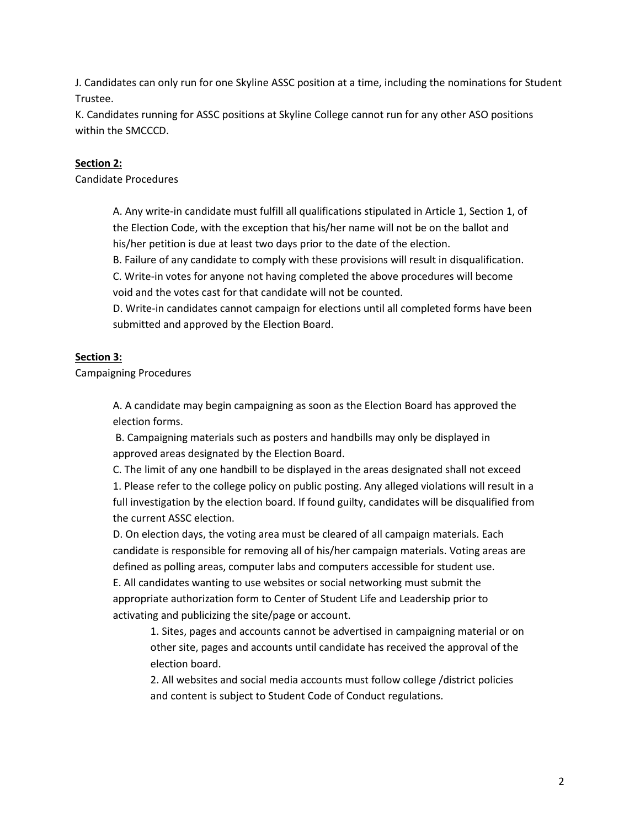J. Candidates can only run for one Skyline ASSC position at a time, including the nominations for Student Trustee.

K. Candidates running for ASSC positions at Skyline College cannot run for any other ASO positions within the SMCCCD.

## **Section 2:**

Candidate Procedures

A. Any write-in candidate must fulfill all qualifications stipulated in Article 1, Section 1, of the Election Code, with the exception that his/her name will not be on the ballot and his/her petition is due at least two days prior to the date of the election.

B. Failure of any candidate to comply with these provisions will result in disqualification.

C. Write-in votes for anyone not having completed the above procedures will become void and the votes cast for that candidate will not be counted.

D. Write-in candidates cannot campaign for elections until all completed forms have been submitted and approved by the Election Board.

## **Section 3:**

Campaigning Procedures

A. A candidate may begin campaigning as soon as the Election Board has approved the election forms.

B. Campaigning materials such as posters and handbills may only be displayed in approved areas designated by the Election Board.

C. The limit of any one handbill to be displayed in the areas designated shall not exceed 1. Please refer to the college policy on public posting. Any alleged violations will result in a full investigation by the election board. If found guilty, candidates will be disqualified from the current ASSC election.

D. On election days, the voting area must be cleared of all campaign materials. Each candidate is responsible for removing all of his/her campaign materials. Voting areas are defined as polling areas, computer labs and computers accessible for student use. E. All candidates wanting to use websites or social networking must submit the

appropriate authorization form to Center of Student Life and Leadership prior to activating and publicizing the site/page or account.

1. Sites, pages and accounts cannot be advertised in campaigning material or on other site, pages and accounts until candidate has received the approval of the election board.

2. All websites and social media accounts must follow college /district policies and content is subject to Student Code of Conduct regulations.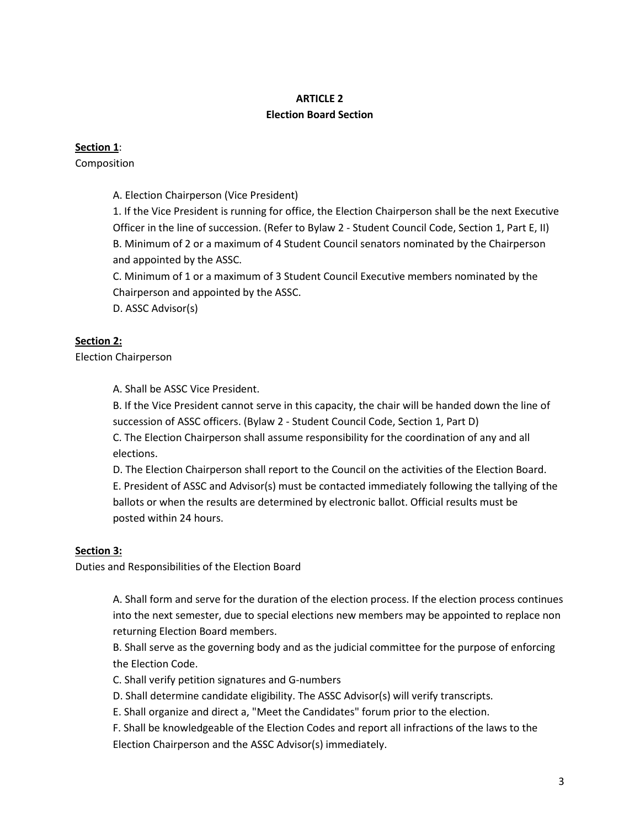# **ARTICLE 2 Election Board Section**

## **Section 1**:

Composition

A. Election Chairperson (Vice President)

1. If the Vice President is running for office, the Election Chairperson shall be the next Executive Officer in the line of succession. (Refer to Bylaw 2 - Student Council Code, Section 1, Part E, II) B. Minimum of 2 or a maximum of 4 Student Council senators nominated by the Chairperson and appointed by the ASSC.

C. Minimum of 1 or a maximum of 3 Student Council Executive members nominated by the Chairperson and appointed by the ASSC.

D. ASSC Advisor(s)

## **Section 2:**

Election Chairperson

A. Shall be ASSC Vice President.

B. If the Vice President cannot serve in this capacity, the chair will be handed down the line of succession of ASSC officers. (Bylaw 2 - Student Council Code, Section 1, Part D)

C. The Election Chairperson shall assume responsibility for the coordination of any and all elections.

D. The Election Chairperson shall report to the Council on the activities of the Election Board. E. President of ASSC and Advisor(s) must be contacted immediately following the tallying of the ballots or when the results are determined by electronic ballot. Official results must be posted within 24 hours.

## **Section 3:**

Duties and Responsibilities of the Election Board

A. Shall form and serve for the duration of the election process. If the election process continues into the next semester, due to special elections new members may be appointed to replace non returning Election Board members.

B. Shall serve as the governing body and as the judicial committee for the purpose of enforcing the Election Code.

- C. Shall verify petition signatures and G-numbers
- D. Shall determine candidate eligibility. The ASSC Advisor(s) will verify transcripts.

E. Shall organize and direct a, "Meet the Candidates" forum prior to the election.

F. Shall be knowledgeable of the Election Codes and report all infractions of the laws to the Election Chairperson and the ASSC Advisor(s) immediately.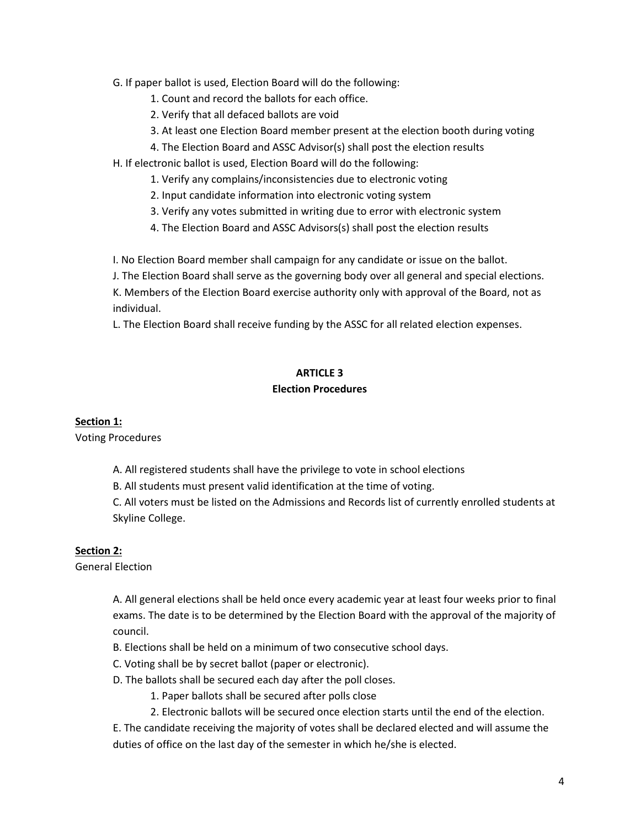G. If paper ballot is used, Election Board will do the following:

1. Count and record the ballots for each office.

2. Verify that all defaced ballots are void

3. At least one Election Board member present at the election booth during voting

- 4. The Election Board and ASSC Advisor(s) shall post the election results
- H. If electronic ballot is used, Election Board will do the following:
	- 1. Verify any complains/inconsistencies due to electronic voting
	- 2. Input candidate information into electronic voting system
	- 3. Verify any votes submitted in writing due to error with electronic system
	- 4. The Election Board and ASSC Advisors(s) shall post the election results

I. No Election Board member shall campaign for any candidate or issue on the ballot.

J. The Election Board shall serve as the governing body over all general and special elections.

K. Members of the Election Board exercise authority only with approval of the Board, not as individual.

L. The Election Board shall receive funding by the ASSC for all related election expenses.

### **ARTICLE 3**

#### **Election Procedures**

## **Section 1:**

Voting Procedures

- A. All registered students shall have the privilege to vote in school elections
- B. All students must present valid identification at the time of voting.

C. All voters must be listed on the Admissions and Records list of currently enrolled students at Skyline College.

## **Section 2:**

General Election

A. All general elections shall be held once every academic year at least four weeks prior to final exams. The date is to be determined by the Election Board with the approval of the majority of council.

- B. Elections shall be held on a minimum of two consecutive school days.
- C. Voting shall be by secret ballot (paper or electronic).
- D. The ballots shall be secured each day after the poll closes.
	- 1. Paper ballots shall be secured after polls close
	- 2. Electronic ballots will be secured once election starts until the end of the election.

E. The candidate receiving the majority of votes shall be declared elected and will assume the duties of office on the last day of the semester in which he/she is elected.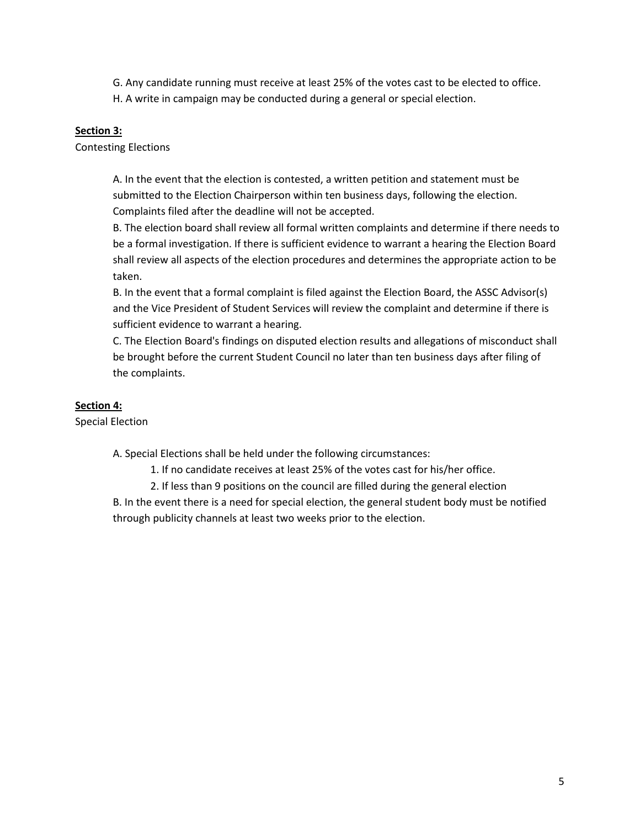G. Any candidate running must receive at least 25% of the votes cast to be elected to office.

H. A write in campaign may be conducted during a general or special election.

### **Section 3:**

Contesting Elections

A. In the event that the election is contested, a written petition and statement must be submitted to the Election Chairperson within ten business days, following the election. Complaints filed after the deadline will not be accepted.

B. The election board shall review all formal written complaints and determine if there needs to be a formal investigation. If there is sufficient evidence to warrant a hearing the Election Board shall review all aspects of the election procedures and determines the appropriate action to be taken.

B. In the event that a formal complaint is filed against the Election Board, the ASSC Advisor(s) and the Vice President of Student Services will review the complaint and determine if there is sufficient evidence to warrant a hearing.

C. The Election Board's findings on disputed election results and allegations of misconduct shall be brought before the current Student Council no later than ten business days after filing of the complaints.

## **Section 4:**

Special Election

A. Special Elections shall be held under the following circumstances:

1. If no candidate receives at least 25% of the votes cast for his/her office.

2. If less than 9 positions on the council are filled during the general election

B. In the event there is a need for special election, the general student body must be notified through publicity channels at least two weeks prior to the election.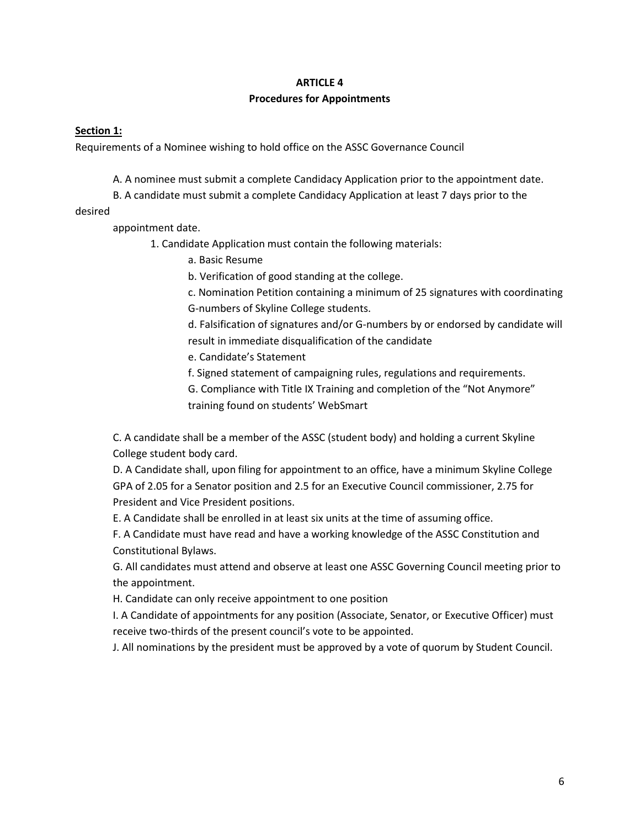#### **ARTICLE 4**

### **Procedures for Appointments**

### **Section 1:**

Requirements of a Nominee wishing to hold office on the ASSC Governance Council

A. A nominee must submit a complete Candidacy Application prior to the appointment date.

B. A candidate must submit a complete Candidacy Application at least 7 days prior to the

desired

appointment date.

- 1. Candidate Application must contain the following materials:
	- a. Basic Resume

b. Verification of good standing at the college.

c. Nomination Petition containing a minimum of 25 signatures with coordinating G-numbers of Skyline College students.

d. Falsification of signatures and/or G-numbers by or endorsed by candidate will result in immediate disqualification of the candidate

e. Candidate's Statement

f. Signed statement of campaigning rules, regulations and requirements.

G. Compliance with Title IX Training and completion of the "Not Anymore" training found on students' WebSmart

C. A candidate shall be a member of the ASSC (student body) and holding a current Skyline College student body card.

D. A Candidate shall, upon filing for appointment to an office, have a minimum Skyline College GPA of 2.05 for a Senator position and 2.5 for an Executive Council commissioner, 2.75 for President and Vice President positions.

E. A Candidate shall be enrolled in at least six units at the time of assuming office.

F. A Candidate must have read and have a working knowledge of the ASSC Constitution and Constitutional Bylaws.

G. All candidates must attend and observe at least one ASSC Governing Council meeting prior to the appointment.

H. Candidate can only receive appointment to one position

I. A Candidate of appointments for any position (Associate, Senator, or Executive Officer) must receive two-thirds of the present council's vote to be appointed.

J. All nominations by the president must be approved by a vote of quorum by Student Council.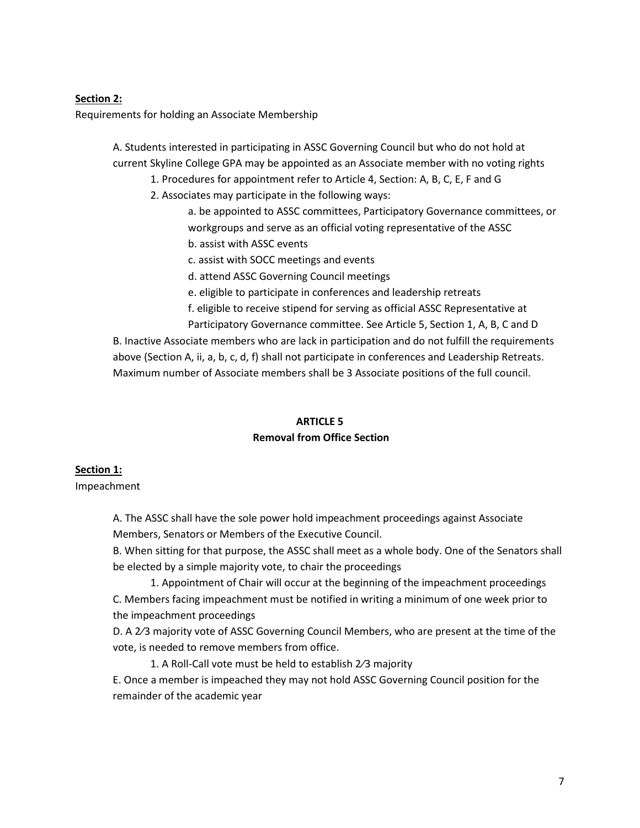#### **Section 2:**

Requirements for holding an Associate Membership

A. Students interested in participating in ASSC Governing Council but who do not hold at current Skyline College GPA may be appointed as an Associate member with no voting rights

1. Procedures for appointment refer to Article 4, Section: A, B, C, E, F and G

2. Associates may participate in the following ways:

a. be appointed to ASSC committees, Participatory Governance committees, or workgroups and serve as an official voting representative of the ASSC

b. assist with ASSC events

c. assist with SOCC meetings and events

d. attend ASSC Governing Council meetings

e. eligible to participate in conferences and leadership retreats

f. eligible to receive stipend for serving as official ASSC Representative at

Participatory Governance committee. See Article 5, Section 1, A, B, C and D B. Inactive Associate members who are lack in participation and do not fulfill the requirements above (Section A, ii, a, b, c, d, f) shall not participate in conferences and Leadership Retreats. Maximum number of Associate members shall be 3 Associate positions of the full council.

#### **ARTICLE 5**

#### **Removal from Office Section**

#### **Section 1:**

Impeachment

A. The ASSC shall have the sole power hold impeachment proceedings against Associate Members, Senators or Members of the Executive Council.

B. When sitting for that purpose, the ASSC shall meet as a whole body. One of the Senators shall be elected by a simple majority vote, to chair the proceedings

1. Appointment of Chair will occur at the beginning of the impeachment proceedings C. Members facing impeachment must be notified in writing a minimum of one week prior to the impeachment proceedings

D. A 2⁄3 majority vote of ASSC Governing Council Members, who are present at the time of the vote, is needed to remove members from office.

1. A Roll-Call vote must be held to establish 2⁄3 majority

E. Once a member is impeached they may not hold ASSC Governing Council position for the remainder of the academic year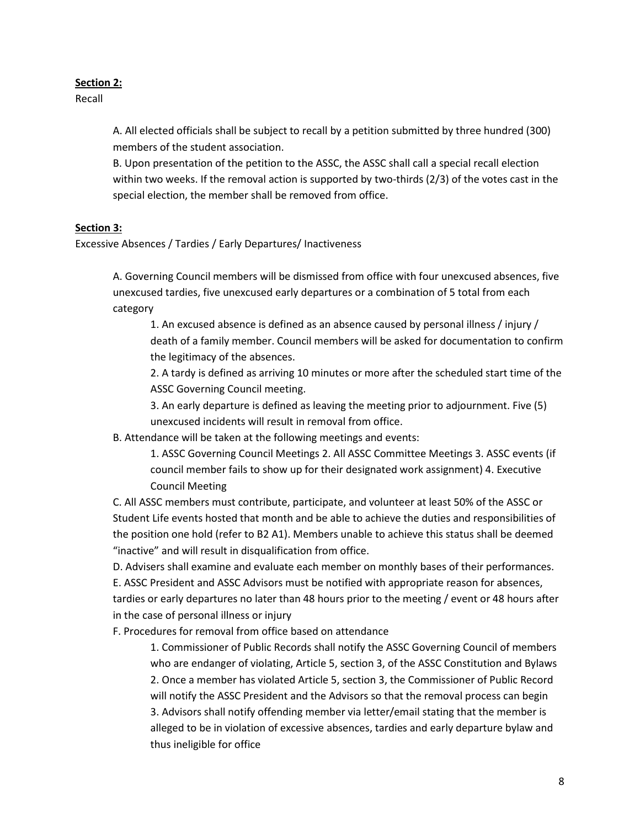### **Section 2:**

Recall

A. All elected officials shall be subject to recall by a petition submitted by three hundred (300) members of the student association.

B. Upon presentation of the petition to the ASSC, the ASSC shall call a special recall election within two weeks. If the removal action is supported by two-thirds (2/3) of the votes cast in the special election, the member shall be removed from office.

## **Section 3:**

Excessive Absences / Tardies / Early Departures/ Inactiveness

A. Governing Council members will be dismissed from office with four unexcused absences, five unexcused tardies, five unexcused early departures or a combination of 5 total from each category

1. An excused absence is defined as an absence caused by personal illness / injury / death of a family member. Council members will be asked for documentation to confirm the legitimacy of the absences.

2. A tardy is defined as arriving 10 minutes or more after the scheduled start time of the ASSC Governing Council meeting.

3. An early departure is defined as leaving the meeting prior to adjournment. Five (5) unexcused incidents will result in removal from office.

B. Attendance will be taken at the following meetings and events:

1. ASSC Governing Council Meetings 2. All ASSC Committee Meetings 3. ASSC events (if council member fails to show up for their designated work assignment) 4. Executive Council Meeting

C. All ASSC members must contribute, participate, and volunteer at least 50% of the ASSC or Student Life events hosted that month and be able to achieve the duties and responsibilities of the position one hold (refer to B2 A1). Members unable to achieve this status shall be deemed "inactive" and will result in disqualification from office.

D. Advisers shall examine and evaluate each member on monthly bases of their performances.

E. ASSC President and ASSC Advisors must be notified with appropriate reason for absences, tardies or early departures no later than 48 hours prior to the meeting / event or 48 hours after in the case of personal illness or injury

F. Procedures for removal from office based on attendance

1. Commissioner of Public Records shall notify the ASSC Governing Council of members who are endanger of violating, Article 5, section 3, of the ASSC Constitution and Bylaws 2. Once a member has violated Article 5, section 3, the Commissioner of Public Record will notify the ASSC President and the Advisors so that the removal process can begin 3. Advisors shall notify offending member via letter/email stating that the member is alleged to be in violation of excessive absences, tardies and early departure bylaw and thus ineligible for office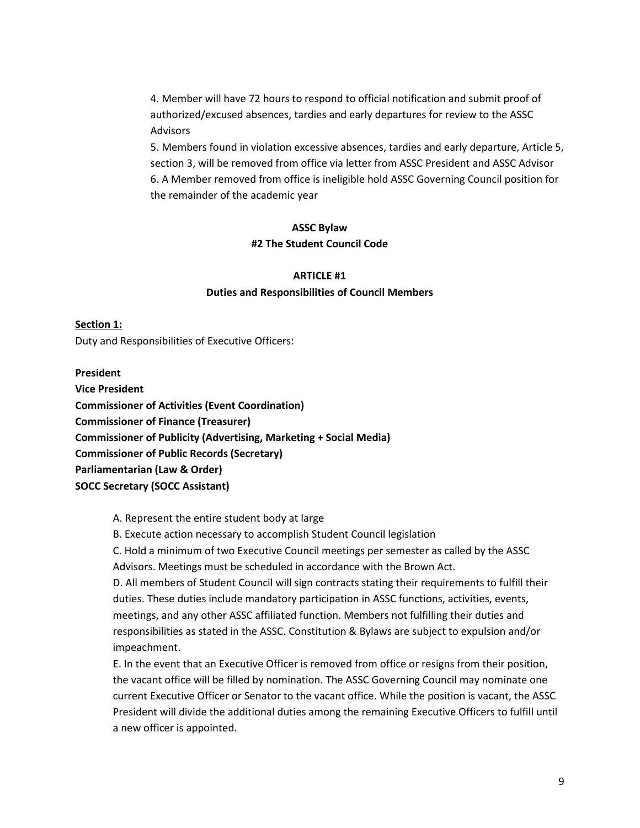4. Member will have 72 hours to respond to official notification and submit proof of authorized/excused absences, tardies and early departures for review to the ASSC Advisors

5. Members found in violation excessive absences, tardies and early departure, Article 5, section 3, will be removed from office via letter from ASSC President and ASSC Advisor 6. A Member removed from office is ineligible hold ASSC Governing Council position for the remainder of the academic year

#### **ASSC Bylaw**

#### **#2 The Student Council Code**

## **ARTICLE #1 Duties and Responsibilities of Council Members**

#### **Section 1:**

Duty and Responsibilities of Executive Officers:

#### **President**

**Vice President Commissioner of Activities (Event Coordination) Commissioner of Finance (Treasurer) Commissioner of Publicity (Advertising, Marketing + Social Media) Commissioner of Public Records (Secretary) Parliamentarian (Law & Order) SOCC Secretary (SOCC Assistant)**

#### A. Represent the entire student body at large

B. Execute action necessary to accomplish Student Council legislation

C. Hold a minimum of two Executive Council meetings per semester as called by the ASSC Advisors. Meetings must be scheduled in accordance with the Brown Act.

D. All members of Student Council will sign contracts stating their requirements to fulfill their duties. These duties include mandatory participation in ASSC functions, activities, events, meetings, and any other ASSC affiliated function. Members not fulfilling their duties and responsibilities as stated in the ASSC. Constitution & Bylaws are subject to expulsion and/or impeachment.

E. In the event that an Executive Officer is removed from office or resigns from their position, the vacant office will be filled by nomination. The ASSC Governing Council may nominate one current Executive Officer or Senator to the vacant office. While the position is vacant, the ASSC President will divide the additional duties among the remaining Executive Officers to fulfill until a new officer is appointed.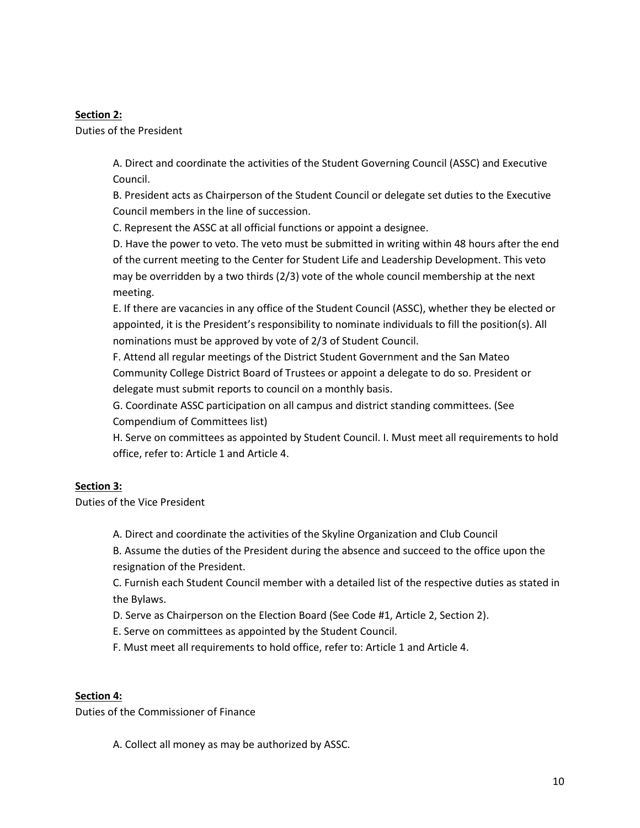## **Section 2:**

Duties of the President

A. Direct and coordinate the activities of the Student Governing Council (ASSC) and Executive Council.

B. President acts as Chairperson of the Student Council or delegate set duties to the Executive Council members in the line of succession.

C. Represent the ASSC at all official functions or appoint a designee.

D. Have the power to veto. The veto must be submitted in writing within 48 hours after the end of the current meeting to the Center for Student Life and Leadership Development. This veto may be overridden by a two thirds (2/3) vote of the whole council membership at the next meeting.

E. If there are vacancies in any office of the Student Council (ASSC), whether they be elected or appointed, it is the President's responsibility to nominate individuals to fill the position(s). All nominations must be approved by vote of 2/3 of Student Council.

F. Attend all regular meetings of the District Student Government and the San Mateo Community College District Board of Trustees or appoint a delegate to do so. President or delegate must submit reports to council on a monthly basis.

G. Coordinate ASSC participation on all campus and district standing committees. (See Compendium of Committees list)

H. Serve on committees as appointed by Student Council. I. Must meet all requirements to hold office, refer to: Article 1 and Article 4.

## **Section 3:**

Duties of the Vice President

A. Direct and coordinate the activities of the Skyline Organization and Club Council

B. Assume the duties of the President during the absence and succeed to the office upon the resignation of the President.

C. Furnish each Student Council member with a detailed list of the respective duties as stated in the Bylaws.

D. Serve as Chairperson on the Election Board (See Code #1, Article 2, Section 2).

E. Serve on committees as appointed by the Student Council.

F. Must meet all requirements to hold office, refer to: Article 1 and Article 4.

## **Section 4:**

Duties of the Commissioner of Finance

A. Collect all money as may be authorized by ASSC.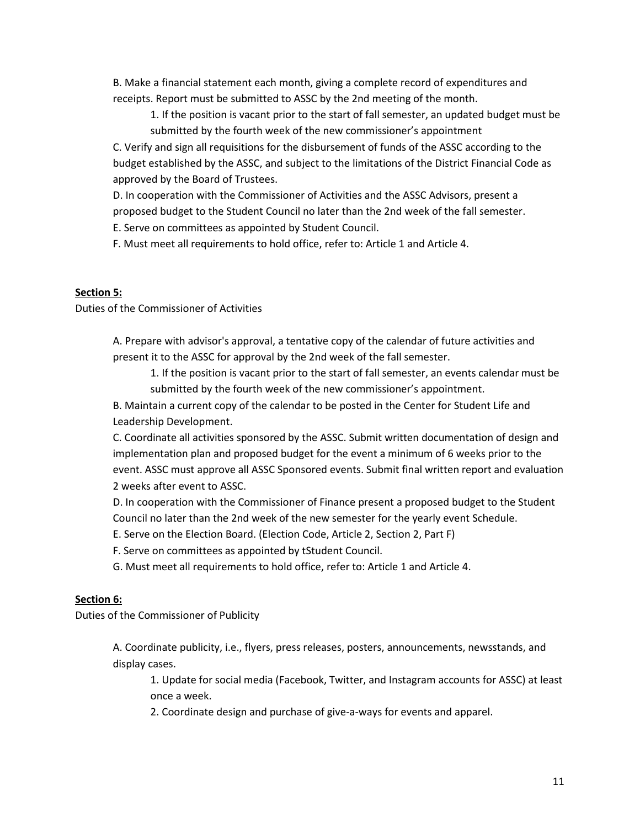B. Make a financial statement each month, giving a complete record of expenditures and receipts. Report must be submitted to ASSC by the 2nd meeting of the month.

1. If the position is vacant prior to the start of fall semester, an updated budget must be submitted by the fourth week of the new commissioner's appointment

C. Verify and sign all requisitions for the disbursement of funds of the ASSC according to the budget established by the ASSC, and subject to the limitations of the District Financial Code as approved by the Board of Trustees.

D. In cooperation with the Commissioner of Activities and the ASSC Advisors, present a proposed budget to the Student Council no later than the 2nd week of the fall semester.

E. Serve on committees as appointed by Student Council.

F. Must meet all requirements to hold office, refer to: Article 1 and Article 4.

### **Section 5:**

Duties of the Commissioner of Activities

A. Prepare with advisor's approval, a tentative copy of the calendar of future activities and present it to the ASSC for approval by the 2nd week of the fall semester.

1. If the position is vacant prior to the start of fall semester, an events calendar must be submitted by the fourth week of the new commissioner's appointment.

B. Maintain a current copy of the calendar to be posted in the Center for Student Life and Leadership Development.

C. Coordinate all activities sponsored by the ASSC. Submit written documentation of design and implementation plan and proposed budget for the event a minimum of 6 weeks prior to the event. ASSC must approve all ASSC Sponsored events. Submit final written report and evaluation 2 weeks after event to ASSC.

D. In cooperation with the Commissioner of Finance present a proposed budget to the Student Council no later than the 2nd week of the new semester for the yearly event Schedule.

E. Serve on the Election Board. (Election Code, Article 2, Section 2, Part F)

F. Serve on committees as appointed by tStudent Council.

G. Must meet all requirements to hold office, refer to: Article 1 and Article 4.

## **Section 6:**

Duties of the Commissioner of Publicity

A. Coordinate publicity, i.e., flyers, press releases, posters, announcements, newsstands, and display cases.

1. Update for social media (Facebook, Twitter, and Instagram accounts for ASSC) at least once a week.

2. Coordinate design and purchase of give-a-ways for events and apparel.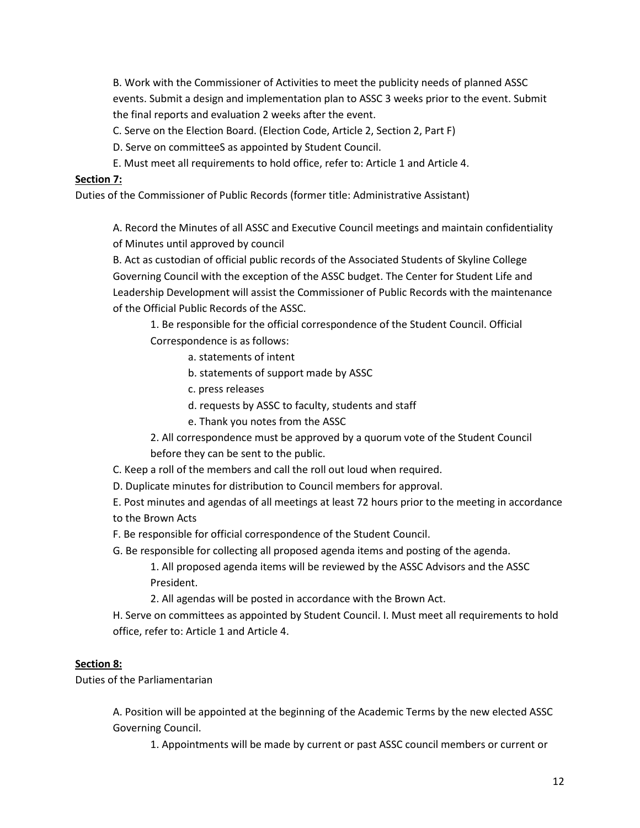B. Work with the Commissioner of Activities to meet the publicity needs of planned ASSC events. Submit a design and implementation plan to ASSC 3 weeks prior to the event. Submit the final reports and evaluation 2 weeks after the event.

C. Serve on the Election Board. (Election Code, Article 2, Section 2, Part F)

- D. Serve on committeeS as appointed by Student Council.
- E. Must meet all requirements to hold office, refer to: Article 1 and Article 4.

### **Section 7:**

Duties of the Commissioner of Public Records (former title: Administrative Assistant)

A. Record the Minutes of all ASSC and Executive Council meetings and maintain confidentiality of Minutes until approved by council

B. Act as custodian of official public records of the Associated Students of Skyline College Governing Council with the exception of the ASSC budget. The Center for Student Life and Leadership Development will assist the Commissioner of Public Records with the maintenance of the Official Public Records of the ASSC.

1. Be responsible for the official correspondence of the Student Council. Official Correspondence is as follows:

- a. statements of intent
- b. statements of support made by ASSC
- c. press releases

d. requests by ASSC to faculty, students and staff

- e. Thank you notes from the ASSC
- 2. All correspondence must be approved by a quorum vote of the Student Council before they can be sent to the public.
- C. Keep a roll of the members and call the roll out loud when required.
- D. Duplicate minutes for distribution to Council members for approval.
- E. Post minutes and agendas of all meetings at least 72 hours prior to the meeting in accordance to the Brown Acts
- F. Be responsible for official correspondence of the Student Council.
- G. Be responsible for collecting all proposed agenda items and posting of the agenda. 1. All proposed agenda items will be reviewed by the ASSC Advisors and the ASSC President.
	- 2. All agendas will be posted in accordance with the Brown Act.

H. Serve on committees as appointed by Student Council. I. Must meet all requirements to hold office, refer to: Article 1 and Article 4.

## **Section 8:**

Duties of the Parliamentarian

A. Position will be appointed at the beginning of the Academic Terms by the new elected ASSC Governing Council.

1. Appointments will be made by current or past ASSC council members or current or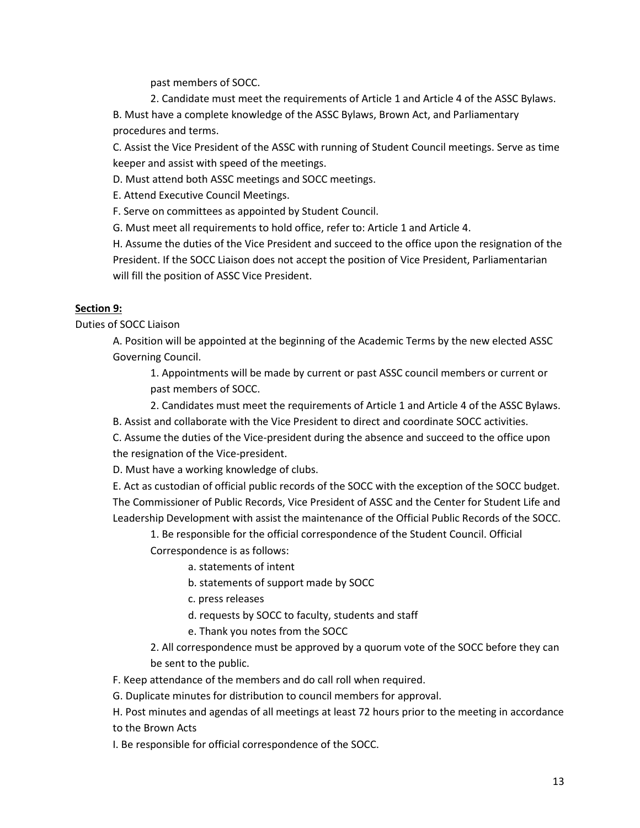past members of SOCC.

2. Candidate must meet the requirements of Article 1 and Article 4 of the ASSC Bylaws.

B. Must have a complete knowledge of the ASSC Bylaws, Brown Act, and Parliamentary procedures and terms.

C. Assist the Vice President of the ASSC with running of Student Council meetings. Serve as time keeper and assist with speed of the meetings.

D. Must attend both ASSC meetings and SOCC meetings.

E. Attend Executive Council Meetings.

F. Serve on committees as appointed by Student Council.

G. Must meet all requirements to hold office, refer to: Article 1 and Article 4.

H. Assume the duties of the Vice President and succeed to the office upon the resignation of the President. If the SOCC Liaison does not accept the position of Vice President, Parliamentarian will fill the position of ASSC Vice President.

# **Section 9:**

Duties of SOCC Liaison

A. Position will be appointed at the beginning of the Academic Terms by the new elected ASSC Governing Council.

1. Appointments will be made by current or past ASSC council members or current or past members of SOCC.

2. Candidates must meet the requirements of Article 1 and Article 4 of the ASSC Bylaws.

B. Assist and collaborate with the Vice President to direct and coordinate SOCC activities.

C. Assume the duties of the Vice-president during the absence and succeed to the office upon the resignation of the Vice-president.

D. Must have a working knowledge of clubs.

E. Act as custodian of official public records of the SOCC with the exception of the SOCC budget. The Commissioner of Public Records, Vice President of ASSC and the Center for Student Life and Leadership Development with assist the maintenance of the Official Public Records of the SOCC.

1. Be responsible for the official correspondence of the Student Council. Official

Correspondence is as follows:

a. statements of intent

b. statements of support made by SOCC

c. press releases

d. requests by SOCC to faculty, students and staff

e. Thank you notes from the SOCC

2. All correspondence must be approved by a quorum vote of the SOCC before they can be sent to the public.

F. Keep attendance of the members and do call roll when required.

G. Duplicate minutes for distribution to council members for approval.

H. Post minutes and agendas of all meetings at least 72 hours prior to the meeting in accordance to the Brown Acts

I. Be responsible for official correspondence of the SOCC.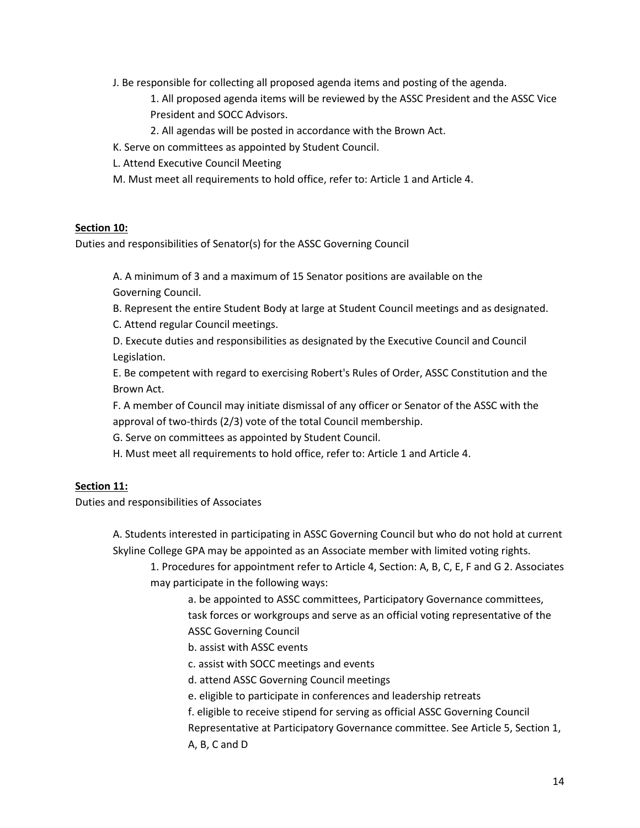J. Be responsible for collecting all proposed agenda items and posting of the agenda.

1. All proposed agenda items will be reviewed by the ASSC President and the ASSC Vice President and SOCC Advisors.

2. All agendas will be posted in accordance with the Brown Act.

- K. Serve on committees as appointed by Student Council.
- L. Attend Executive Council Meeting
- M. Must meet all requirements to hold office, refer to: Article 1 and Article 4.

#### **Section 10:**

Duties and responsibilities of Senator(s) for the ASSC Governing Council

A. A minimum of 3 and a maximum of 15 Senator positions are available on the Governing Council.

B. Represent the entire Student Body at large at Student Council meetings and as designated. C. Attend regular Council meetings.

D. Execute duties and responsibilities as designated by the Executive Council and Council Legislation.

E. Be competent with regard to exercising Robert's Rules of Order, ASSC Constitution and the Brown Act.

F. A member of Council may initiate dismissal of any officer or Senator of the ASSC with the approval of two-thirds (2/3) vote of the total Council membership.

G. Serve on committees as appointed by Student Council.

H. Must meet all requirements to hold office, refer to: Article 1 and Article 4.

#### **Section 11:**

Duties and responsibilities of Associates

A. Students interested in participating in ASSC Governing Council but who do not hold at current Skyline College GPA may be appointed as an Associate member with limited voting rights.

1. Procedures for appointment refer to Article 4, Section: A, B, C, E, F and G 2. Associates may participate in the following ways:

a. be appointed to ASSC committees, Participatory Governance committees, task forces or workgroups and serve as an official voting representative of the ASSC Governing Council

- b. assist with ASSC events
- c. assist with SOCC meetings and events
- d. attend ASSC Governing Council meetings
- e. eligible to participate in conferences and leadership retreats
- f. eligible to receive stipend for serving as official ASSC Governing Council Representative at Participatory Governance committee. See Article 5, Section 1,
- A, B, C and D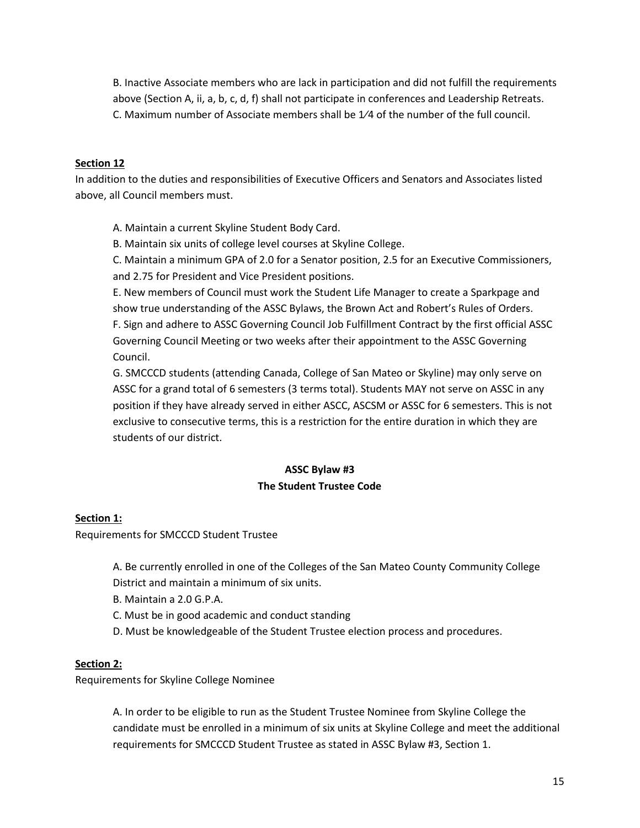B. Inactive Associate members who are lack in participation and did not fulfill the requirements above (Section A, ii, a, b, c, d, f) shall not participate in conferences and Leadership Retreats. C. Maximum number of Associate members shall be 1⁄4 of the number of the full council.

### **Section 12**

In addition to the duties and responsibilities of Executive Officers and Senators and Associates listed above, all Council members must.

A. Maintain a current Skyline Student Body Card.

B. Maintain six units of college level courses at Skyline College.

C. Maintain a minimum GPA of 2.0 for a Senator position, 2.5 for an Executive Commissioners, and 2.75 for President and Vice President positions.

E. New members of Council must work the Student Life Manager to create a Sparkpage and show true understanding of the ASSC Bylaws, the Brown Act and Robert's Rules of Orders. F. Sign and adhere to ASSC Governing Council Job Fulfillment Contract by the first official ASSC Governing Council Meeting or two weeks after their appointment to the ASSC Governing Council.

G. SMCCCD students (attending Canada, College of San Mateo or Skyline) may only serve on ASSC for a grand total of 6 semesters (3 terms total). Students MAY not serve on ASSC in any position if they have already served in either ASCC, ASCSM or ASSC for 6 semesters. This is not exclusive to consecutive terms, this is a restriction for the entire duration in which they are students of our district.

## **ASSC Bylaw #3 The Student Trustee Code**

#### **Section 1:**

Requirements for SMCCCD Student Trustee

- A. Be currently enrolled in one of the Colleges of the San Mateo County Community College District and maintain a minimum of six units.
- B. Maintain a 2.0 G.P.A.
- C. Must be in good academic and conduct standing
- D. Must be knowledgeable of the Student Trustee election process and procedures.

#### **Section 2:**

Requirements for Skyline College Nominee

A. In order to be eligible to run as the Student Trustee Nominee from Skyline College the candidate must be enrolled in a minimum of six units at Skyline College and meet the additional requirements for SMCCCD Student Trustee as stated in ASSC Bylaw #3, Section 1.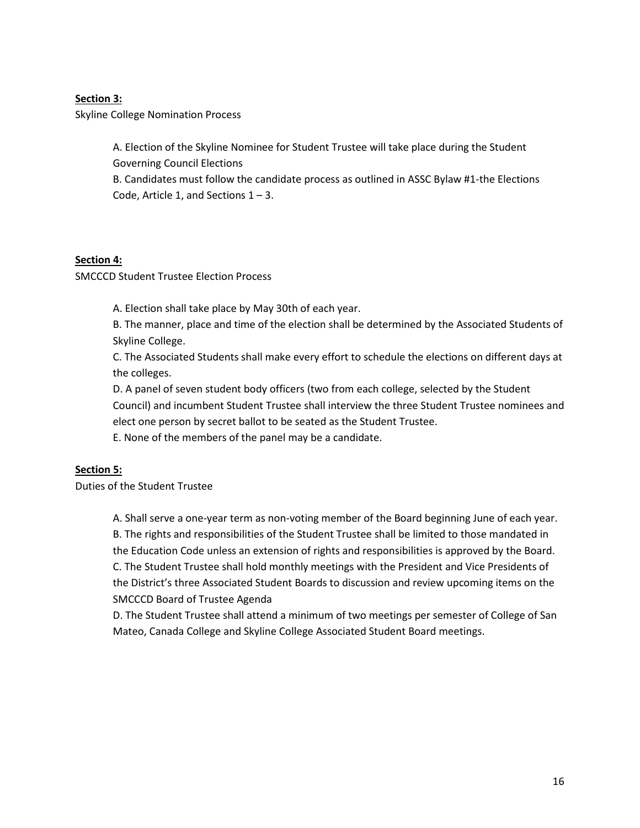### **Section 3:**

Skyline College Nomination Process

A. Election of the Skyline Nominee for Student Trustee will take place during the Student Governing Council Elections

B. Candidates must follow the candidate process as outlined in ASSC Bylaw #1-the Elections Code, Article 1, and Sections  $1 - 3$ .

#### **Section 4:**

SMCCCD Student Trustee Election Process

A. Election shall take place by May 30th of each year.

B. The manner, place and time of the election shall be determined by the Associated Students of Skyline College.

C. The Associated Students shall make every effort to schedule the elections on different days at the colleges.

D. A panel of seven student body officers (two from each college, selected by the Student Council) and incumbent Student Trustee shall interview the three Student Trustee nominees and elect one person by secret ballot to be seated as the Student Trustee.

E. None of the members of the panel may be a candidate.

## **Section 5:**

Duties of the Student Trustee

A. Shall serve a one-year term as non-voting member of the Board beginning June of each year. B. The rights and responsibilities of the Student Trustee shall be limited to those mandated in the Education Code unless an extension of rights and responsibilities is approved by the Board. C. The Student Trustee shall hold monthly meetings with the President and Vice Presidents of the District's three Associated Student Boards to discussion and review upcoming items on the SMCCCD Board of Trustee Agenda

D. The Student Trustee shall attend a minimum of two meetings per semester of College of San Mateo, Canada College and Skyline College Associated Student Board meetings.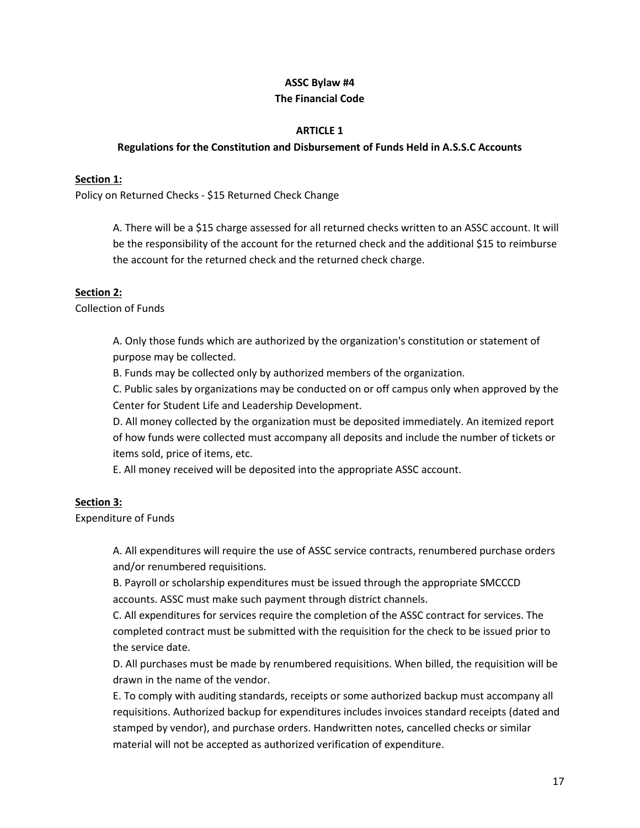#### **ASSC Bylaw #4**

#### **The Financial Code**

#### **ARTICLE 1**

#### **Regulations for the Constitution and Disbursement of Funds Held in A.S.S.C Accounts**

#### **Section 1:**

Policy on Returned Checks - \$15 Returned Check Change

A. There will be a \$15 charge assessed for all returned checks written to an ASSC account. It will be the responsibility of the account for the returned check and the additional \$15 to reimburse the account for the returned check and the returned check charge.

#### **Section 2:**

Collection of Funds

A. Only those funds which are authorized by the organization's constitution or statement of purpose may be collected.

B. Funds may be collected only by authorized members of the organization.

C. Public sales by organizations may be conducted on or off campus only when approved by the Center for Student Life and Leadership Development.

D. All money collected by the organization must be deposited immediately. An itemized report of how funds were collected must accompany all deposits and include the number of tickets or items sold, price of items, etc.

E. All money received will be deposited into the appropriate ASSC account.

#### **Section 3:**

Expenditure of Funds

A. All expenditures will require the use of ASSC service contracts, renumbered purchase orders and/or renumbered requisitions.

B. Payroll or scholarship expenditures must be issued through the appropriate SMCCCD accounts. ASSC must make such payment through district channels.

C. All expenditures for services require the completion of the ASSC contract for services. The completed contract must be submitted with the requisition for the check to be issued prior to the service date.

D. All purchases must be made by renumbered requisitions. When billed, the requisition will be drawn in the name of the vendor.

E. To comply with auditing standards, receipts or some authorized backup must accompany all requisitions. Authorized backup for expenditures includes invoices standard receipts (dated and stamped by vendor), and purchase orders. Handwritten notes, cancelled checks or similar material will not be accepted as authorized verification of expenditure.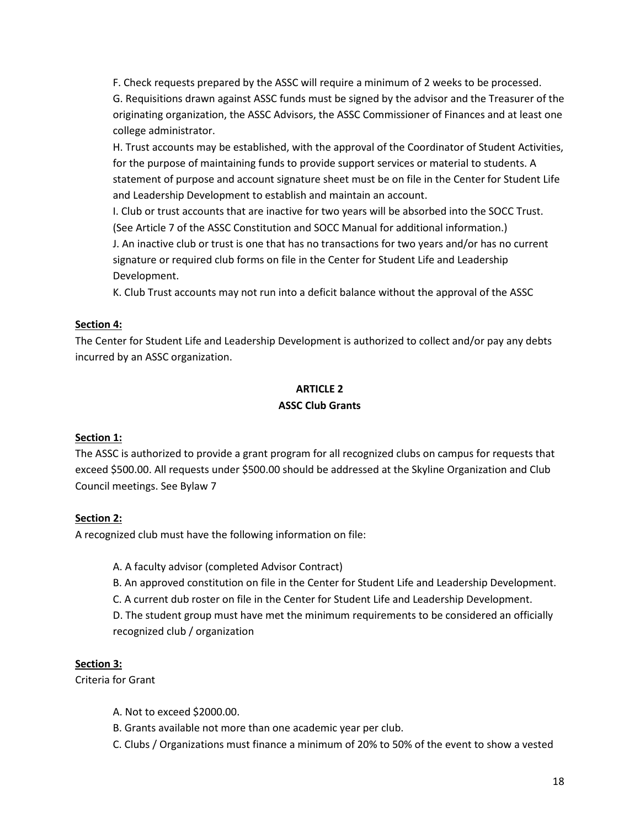F. Check requests prepared by the ASSC will require a minimum of 2 weeks to be processed.

G. Requisitions drawn against ASSC funds must be signed by the advisor and the Treasurer of the originating organization, the ASSC Advisors, the ASSC Commissioner of Finances and at least one college administrator.

H. Trust accounts may be established, with the approval of the Coordinator of Student Activities, for the purpose of maintaining funds to provide support services or material to students. A statement of purpose and account signature sheet must be on file in the Center for Student Life and Leadership Development to establish and maintain an account.

I. Club or trust accounts that are inactive for two years will be absorbed into the SOCC Trust. (See Article 7 of the ASSC Constitution and SOCC Manual for additional information.)

J. An inactive club or trust is one that has no transactions for two years and/or has no current signature or required club forms on file in the Center for Student Life and Leadership Development.

K. Club Trust accounts may not run into a deficit balance without the approval of the ASSC

# **Section 4:**

The Center for Student Life and Leadership Development is authorized to collect and/or pay any debts incurred by an ASSC organization.

# **ARTICLE 2**

## **ASSC Club Grants**

# **Section 1:**

The ASSC is authorized to provide a grant program for all recognized clubs on campus for requests that exceed \$500.00. All requests under \$500.00 should be addressed at the Skyline Organization and Club Council meetings. See Bylaw 7

# **Section 2:**

A recognized club must have the following information on file:

- A. A faculty advisor (completed Advisor Contract)
- B. An approved constitution on file in the Center for Student Life and Leadership Development.
- C. A current dub roster on file in the Center for Student Life and Leadership Development.

D. The student group must have met the minimum requirements to be considered an officially recognized club / organization

# **Section 3:**

Criteria for Grant

- A. Not to exceed \$2000.00.
- B. Grants available not more than one academic year per club.
- C. Clubs / Organizations must finance a minimum of 20% to 50% of the event to show a vested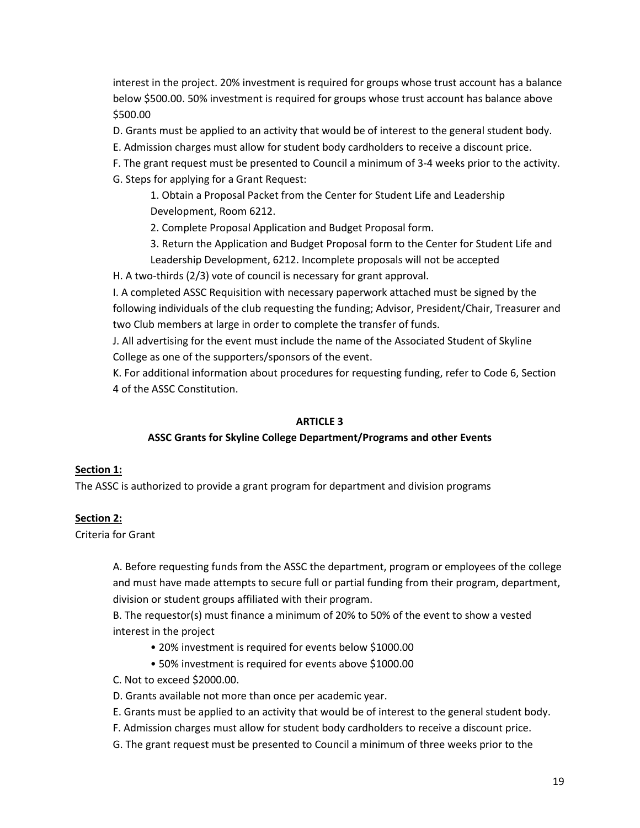interest in the project. 20% investment is required for groups whose trust account has a balance below \$500.00. 50% investment is required for groups whose trust account has balance above \$500.00

D. Grants must be applied to an activity that would be of interest to the general student body.

- E. Admission charges must allow for student body cardholders to receive a discount price.
- F. The grant request must be presented to Council a minimum of 3-4 weeks prior to the activity. G. Steps for applying for a Grant Request:

1. Obtain a Proposal Packet from the Center for Student Life and Leadership Development, Room 6212.

2. Complete Proposal Application and Budget Proposal form.

3. Return the Application and Budget Proposal form to the Center for Student Life and Leadership Development, 6212. Incomplete proposals will not be accepted

H. A two-thirds (2/3) vote of council is necessary for grant approval.

I. A completed ASSC Requisition with necessary paperwork attached must be signed by the following individuals of the club requesting the funding; Advisor, President/Chair, Treasurer and two Club members at large in order to complete the transfer of funds.

J. All advertising for the event must include the name of the Associated Student of Skyline College as one of the supporters/sponsors of the event.

K. For additional information about procedures for requesting funding, refer to Code 6, Section 4 of the ASSC Constitution.

#### **ARTICLE 3**

#### **ASSC Grants for Skyline College Department/Programs and other Events**

#### **Section 1:**

The ASSC is authorized to provide a grant program for department and division programs

#### **Section 2:**

Criteria for Grant

A. Before requesting funds from the ASSC the department, program or employees of the college and must have made attempts to secure full or partial funding from their program, department, division or student groups affiliated with their program.

B. The requestor(s) must finance a minimum of 20% to 50% of the event to show a vested interest in the project

- 20% investment is required for events below \$1000.00
- 50% investment is required for events above \$1000.00
- C. Not to exceed \$2000.00.
- D. Grants available not more than once per academic year.
- E. Grants must be applied to an activity that would be of interest to the general student body.
- F. Admission charges must allow for student body cardholders to receive a discount price.
- G. The grant request must be presented to Council a minimum of three weeks prior to the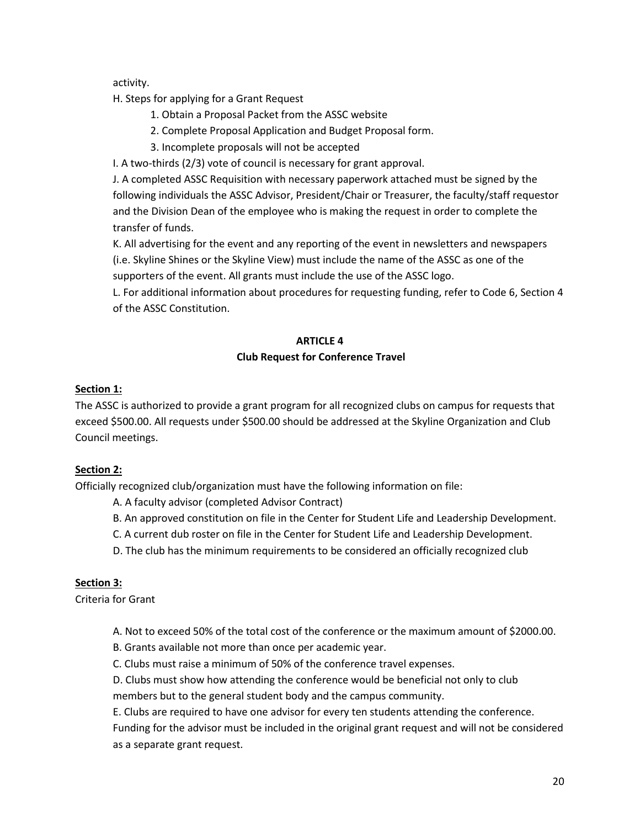activity.

H. Steps for applying for a Grant Request

- 1. Obtain a Proposal Packet from the ASSC website
- 2. Complete Proposal Application and Budget Proposal form.
- 3. Incomplete proposals will not be accepted

I. A two-thirds (2/3) vote of council is necessary for grant approval.

J. A completed ASSC Requisition with necessary paperwork attached must be signed by the following individuals the ASSC Advisor, President/Chair or Treasurer, the faculty/staff requestor and the Division Dean of the employee who is making the request in order to complete the transfer of funds.

K. All advertising for the event and any reporting of the event in newsletters and newspapers (i.e. Skyline Shines or the Skyline View) must include the name of the ASSC as one of the supporters of the event. All grants must include the use of the ASSC logo.

L. For additional information about procedures for requesting funding, refer to Code 6, Section 4 of the ASSC Constitution.

### **ARTICLE 4**

## **Club Request for Conference Travel**

## **Section 1:**

The ASSC is authorized to provide a grant program for all recognized clubs on campus for requests that exceed \$500.00. All requests under \$500.00 should be addressed at the Skyline Organization and Club Council meetings.

## **Section 2:**

Officially recognized club/organization must have the following information on file:

A. A faculty advisor (completed Advisor Contract)

- B. An approved constitution on file in the Center for Student Life and Leadership Development.
- C. A current dub roster on file in the Center for Student Life and Leadership Development.
- D. The club has the minimum requirements to be considered an officially recognized club

## **Section 3:**

Criteria for Grant

- A. Not to exceed 50% of the total cost of the conference or the maximum amount of \$2000.00.
- B. Grants available not more than once per academic year.
- C. Clubs must raise a minimum of 50% of the conference travel expenses.

D. Clubs must show how attending the conference would be beneficial not only to club members but to the general student body and the campus community.

E. Clubs are required to have one advisor for every ten students attending the conference.

Funding for the advisor must be included in the original grant request and will not be considered as a separate grant request.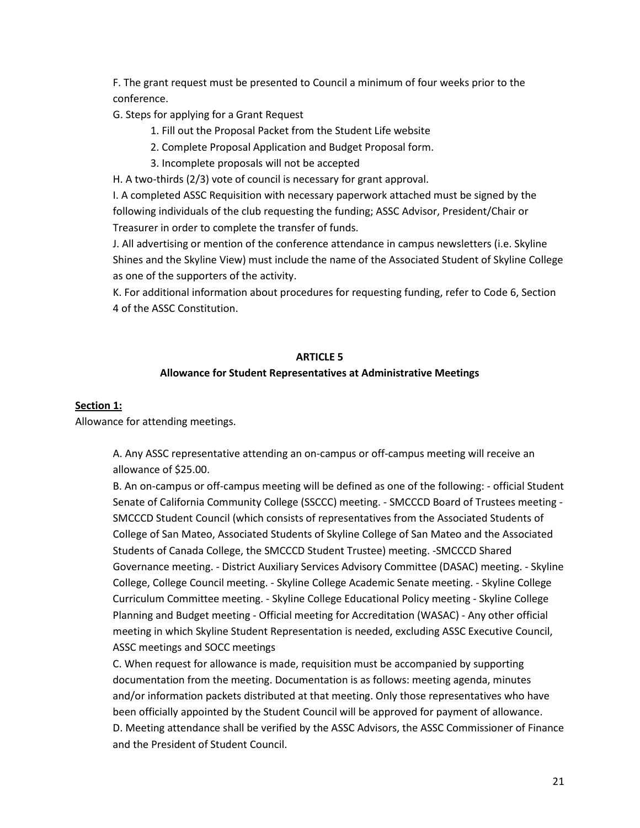F. The grant request must be presented to Council a minimum of four weeks prior to the conference.

G. Steps for applying for a Grant Request

- 1. Fill out the Proposal Packet from the Student Life website
- 2. Complete Proposal Application and Budget Proposal form.
- 3. Incomplete proposals will not be accepted

H. A two-thirds (2/3) vote of council is necessary for grant approval.

I. A completed ASSC Requisition with necessary paperwork attached must be signed by the following individuals of the club requesting the funding; ASSC Advisor, President/Chair or Treasurer in order to complete the transfer of funds.

J. All advertising or mention of the conference attendance in campus newsletters (i.e. Skyline Shines and the Skyline View) must include the name of the Associated Student of Skyline College as one of the supporters of the activity.

K. For additional information about procedures for requesting funding, refer to Code 6, Section 4 of the ASSC Constitution.

#### **ARTICLE 5**

#### **Allowance for Student Representatives at Administrative Meetings**

#### **Section 1:**

Allowance for attending meetings.

A. Any ASSC representative attending an on-campus or off-campus meeting will receive an allowance of \$25.00.

B. An on-campus or off-campus meeting will be defined as one of the following: - official Student Senate of California Community College (SSCCC) meeting. - SMCCCD Board of Trustees meeting - SMCCCD Student Council (which consists of representatives from the Associated Students of College of San Mateo, Associated Students of Skyline College of San Mateo and the Associated Students of Canada College, the SMCCCD Student Trustee) meeting. -SMCCCD Shared Governance meeting. - District Auxiliary Services Advisory Committee (DASAC) meeting. - Skyline College, College Council meeting. - Skyline College Academic Senate meeting. - Skyline College Curriculum Committee meeting. - Skyline College Educational Policy meeting - Skyline College Planning and Budget meeting - Official meeting for Accreditation (WASAC) - Any other official meeting in which Skyline Student Representation is needed, excluding ASSC Executive Council, ASSC meetings and SOCC meetings

C. When request for allowance is made, requisition must be accompanied by supporting documentation from the meeting. Documentation is as follows: meeting agenda, minutes and/or information packets distributed at that meeting. Only those representatives who have been officially appointed by the Student Council will be approved for payment of allowance. D. Meeting attendance shall be verified by the ASSC Advisors, the ASSC Commissioner of Finance and the President of Student Council.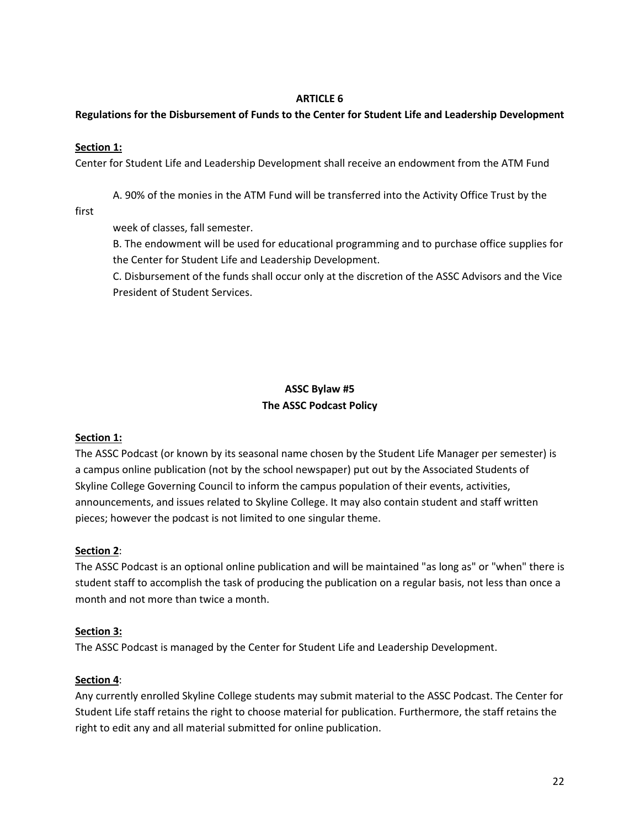### **ARTICLE 6**

## **Regulations for the Disbursement of Funds to the Center for Student Life and Leadership Development**

### **Section 1:**

Center for Student Life and Leadership Development shall receive an endowment from the ATM Fund

A. 90% of the monies in the ATM Fund will be transferred into the Activity Office Trust by the

first

week of classes, fall semester.

B. The endowment will be used for educational programming and to purchase office supplies for the Center for Student Life and Leadership Development.

C. Disbursement of the funds shall occur only at the discretion of the ASSC Advisors and the Vice President of Student Services.

# **ASSC Bylaw #5 The ASSC Podcast Policy**

## **Section 1:**

The ASSC Podcast (or known by its seasonal name chosen by the Student Life Manager per semester) is a campus online publication (not by the school newspaper) put out by the Associated Students of Skyline College Governing Council to inform the campus population of their events, activities, announcements, and issues related to Skyline College. It may also contain student and staff written pieces; however the podcast is not limited to one singular theme.

## **Section 2**:

The ASSC Podcast is an optional online publication and will be maintained "as long as" or "when" there is student staff to accomplish the task of producing the publication on a regular basis, not less than once a month and not more than twice a month.

#### **Section 3:**

The ASSC Podcast is managed by the Center for Student Life and Leadership Development.

#### **Section 4**:

Any currently enrolled Skyline College students may submit material to the ASSC Podcast. The Center for Student Life staff retains the right to choose material for publication. Furthermore, the staff retains the right to edit any and all material submitted for online publication.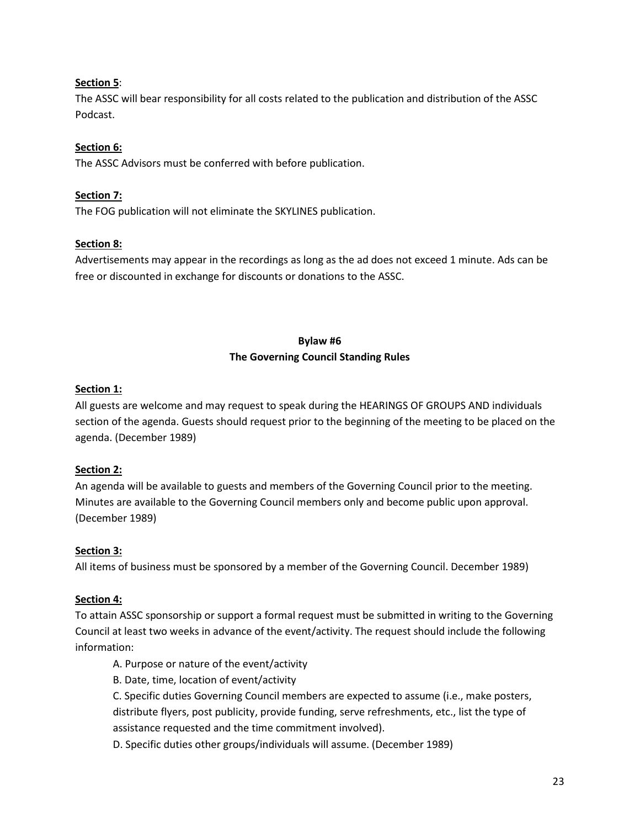## **Section 5**:

The ASSC will bear responsibility for all costs related to the publication and distribution of the ASSC Podcast.

## **Section 6:**

The ASSC Advisors must be conferred with before publication.

### **Section 7:**

The FOG publication will not eliminate the SKYLINES publication.

#### **Section 8:**

Advertisements may appear in the recordings as long as the ad does not exceed 1 minute. Ads can be free or discounted in exchange for discounts or donations to the ASSC.

# **Bylaw #6 The Governing Council Standing Rules**

#### **Section 1:**

All guests are welcome and may request to speak during the HEARINGS OF GROUPS AND individuals section of the agenda. Guests should request prior to the beginning of the meeting to be placed on the agenda. (December 1989)

#### **Section 2:**

An agenda will be available to guests and members of the Governing Council prior to the meeting. Minutes are available to the Governing Council members only and become public upon approval. (December 1989)

## **Section 3:**

All items of business must be sponsored by a member of the Governing Council. December 1989)

#### **Section 4:**

To attain ASSC sponsorship or support a formal request must be submitted in writing to the Governing Council at least two weeks in advance of the event/activity. The request should include the following information:

- A. Purpose or nature of the event/activity
- B. Date, time, location of event/activity

C. Specific duties Governing Council members are expected to assume (i.e., make posters, distribute flyers, post publicity, provide funding, serve refreshments, etc., list the type of assistance requested and the time commitment involved).

D. Specific duties other groups/individuals will assume. (December 1989)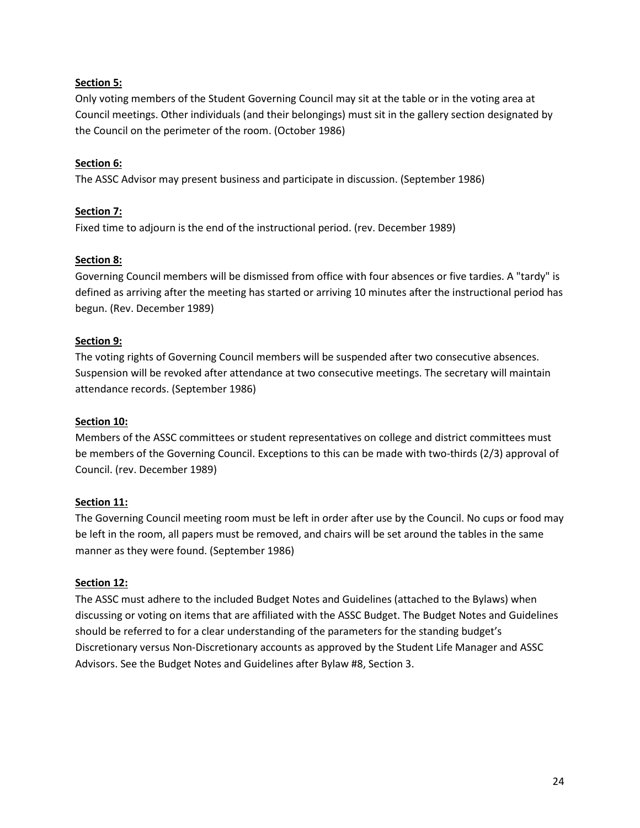### **Section 5:**

Only voting members of the Student Governing Council may sit at the table or in the voting area at Council meetings. Other individuals (and their belongings) must sit in the gallery section designated by the Council on the perimeter of the room. (October 1986)

### **Section 6:**

The ASSC Advisor may present business and participate in discussion. (September 1986)

### **Section 7:**

Fixed time to adjourn is the end of the instructional period. (rev. December 1989)

### **Section 8:**

Governing Council members will be dismissed from office with four absences or five tardies. A "tardy" is defined as arriving after the meeting has started or arriving 10 minutes after the instructional period has begun. (Rev. December 1989)

### **Section 9:**

The voting rights of Governing Council members will be suspended after two consecutive absences. Suspension will be revoked after attendance at two consecutive meetings. The secretary will maintain attendance records. (September 1986)

#### **Section 10:**

Members of the ASSC committees or student representatives on college and district committees must be members of the Governing Council. Exceptions to this can be made with two-thirds (2/3) approval of Council. (rev. December 1989)

#### **Section 11:**

The Governing Council meeting room must be left in order after use by the Council. No cups or food may be left in the room, all papers must be removed, and chairs will be set around the tables in the same manner as they were found. (September 1986)

#### **Section 12:**

The ASSC must adhere to the included Budget Notes and Guidelines (attached to the Bylaws) when discussing or voting on items that are affiliated with the ASSC Budget. The Budget Notes and Guidelines should be referred to for a clear understanding of the parameters for the standing budget's Discretionary versus Non-Discretionary accounts as approved by the Student Life Manager and ASSC Advisors. See the Budget Notes and Guidelines after Bylaw #8, Section 3.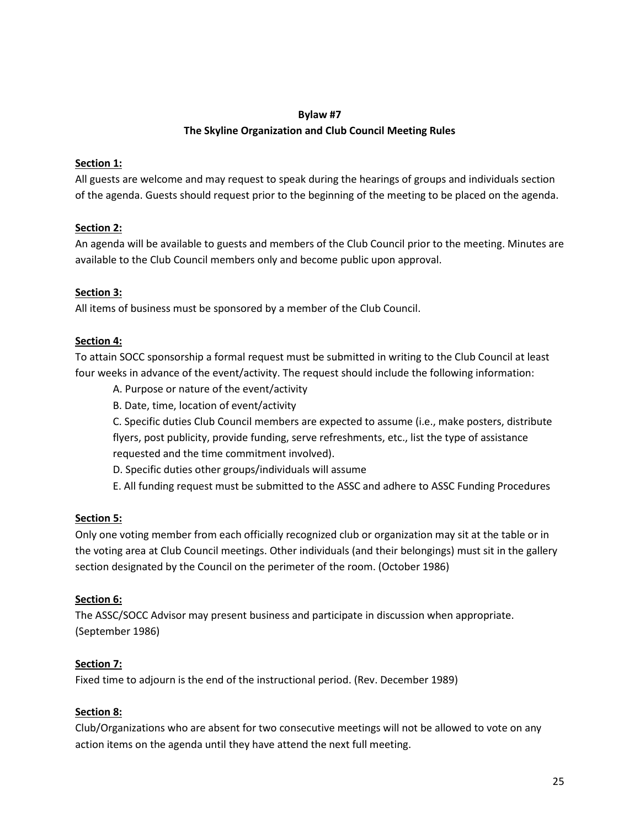### **Bylaw #7**

## **The Skyline Organization and Club Council Meeting Rules**

### **Section 1:**

All guests are welcome and may request to speak during the hearings of groups and individuals section of the agenda. Guests should request prior to the beginning of the meeting to be placed on the agenda.

## **Section 2:**

An agenda will be available to guests and members of the Club Council prior to the meeting. Minutes are available to the Club Council members only and become public upon approval.

## **Section 3:**

All items of business must be sponsored by a member of the Club Council.

### **Section 4:**

To attain SOCC sponsorship a formal request must be submitted in writing to the Club Council at least four weeks in advance of the event/activity. The request should include the following information:

- A. Purpose or nature of the event/activity
- B. Date, time, location of event/activity

C. Specific duties Club Council members are expected to assume (i.e., make posters, distribute flyers, post publicity, provide funding, serve refreshments, etc., list the type of assistance requested and the time commitment involved).

- D. Specific duties other groups/individuals will assume
- E. All funding request must be submitted to the ASSC and adhere to ASSC Funding Procedures

#### **Section 5:**

Only one voting member from each officially recognized club or organization may sit at the table or in the voting area at Club Council meetings. Other individuals (and their belongings) must sit in the gallery section designated by the Council on the perimeter of the room. (October 1986)

#### **Section 6:**

The ASSC/SOCC Advisor may present business and participate in discussion when appropriate. (September 1986)

#### **Section 7:**

Fixed time to adjourn is the end of the instructional period. (Rev. December 1989)

#### **Section 8:**

Club/Organizations who are absent for two consecutive meetings will not be allowed to vote on any action items on the agenda until they have attend the next full meeting.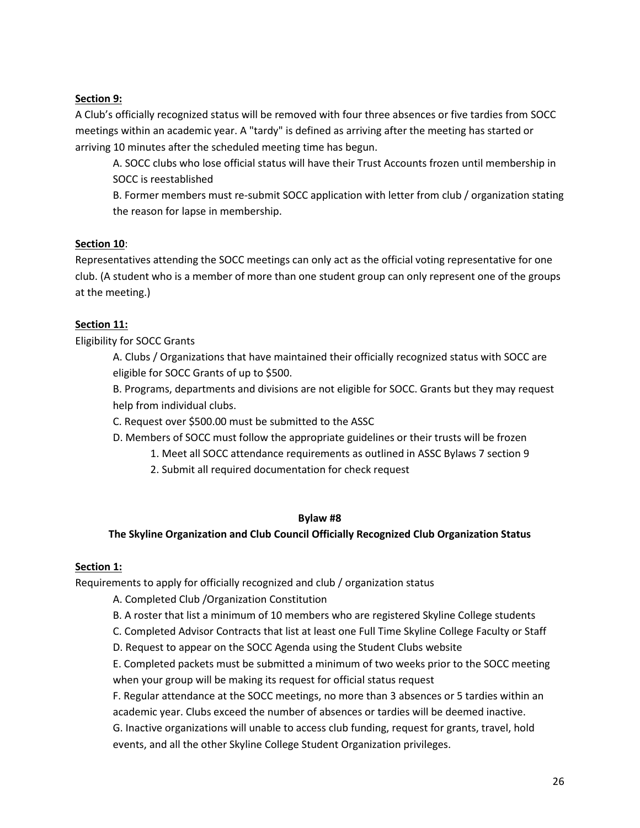### **Section 9:**

A Club's officially recognized status will be removed with four three absences or five tardies from SOCC meetings within an academic year. A "tardy" is defined as arriving after the meeting has started or arriving 10 minutes after the scheduled meeting time has begun.

A. SOCC clubs who lose official status will have their Trust Accounts frozen until membership in SOCC is reestablished

B. Former members must re-submit SOCC application with letter from club / organization stating the reason for lapse in membership.

## **Section 10**:

Representatives attending the SOCC meetings can only act as the official voting representative for one club. (A student who is a member of more than one student group can only represent one of the groups at the meeting.)

## **Section 11:**

Eligibility for SOCC Grants

A. Clubs / Organizations that have maintained their officially recognized status with SOCC are eligible for SOCC Grants of up to \$500.

B. Programs, departments and divisions are not eligible for SOCC. Grants but they may request help from individual clubs.

C. Request over \$500.00 must be submitted to the ASSC

D. Members of SOCC must follow the appropriate guidelines or their trusts will be frozen

- 1. Meet all SOCC attendance requirements as outlined in ASSC Bylaws 7 section 9
- 2. Submit all required documentation for check request

#### **Bylaw #8**

**The Skyline Organization and Club Council Officially Recognized Club Organization Status** 

#### **Section 1:**

Requirements to apply for officially recognized and club / organization status

- A. Completed Club /Organization Constitution
- B. A roster that list a minimum of 10 members who are registered Skyline College students
- C. Completed Advisor Contracts that list at least one Full Time Skyline College Faculty or Staff
- D. Request to appear on the SOCC Agenda using the Student Clubs website

E. Completed packets must be submitted a minimum of two weeks prior to the SOCC meeting when your group will be making its request for official status request

F. Regular attendance at the SOCC meetings, no more than 3 absences or 5 tardies within an academic year. Clubs exceed the number of absences or tardies will be deemed inactive. G. Inactive organizations will unable to access club funding, request for grants, travel, hold

events, and all the other Skyline College Student Organization privileges.